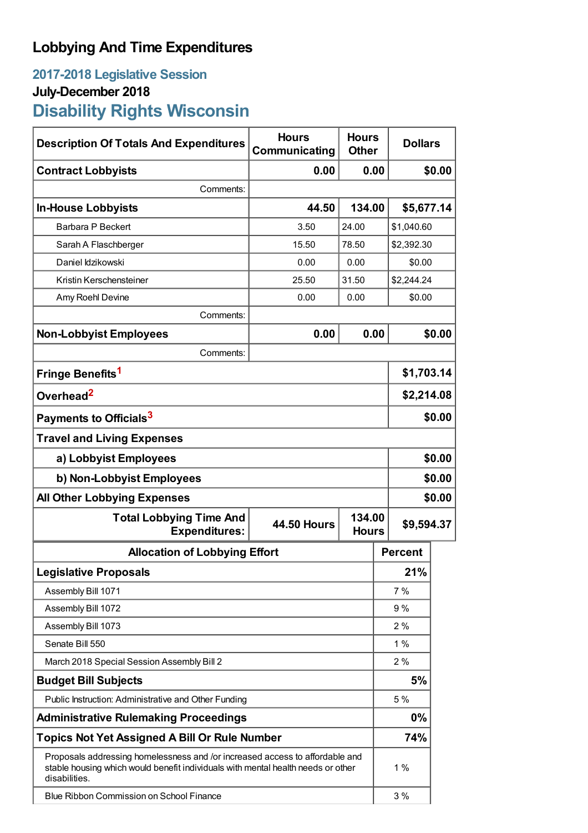## **Lobbying And Time Expenditures**

## **2017-2018 Legislative Session July-December 2018 Disability Rights Wisconsin**

| <b>Description Of Totals And Expenditures</b>                                                                                                                                     | <b>Hours</b><br>Communicating | <b>Hours</b><br><b>Other</b>         | <b>Dollars</b> |            |  |
|-----------------------------------------------------------------------------------------------------------------------------------------------------------------------------------|-------------------------------|--------------------------------------|----------------|------------|--|
| <b>Contract Lobbyists</b>                                                                                                                                                         | 0.00                          | 0.00                                 |                | \$0.00     |  |
| Comments:                                                                                                                                                                         |                               |                                      |                |            |  |
| <b>In-House Lobbyists</b>                                                                                                                                                         | 44.50                         | 134.00                               | \$5,677.14     |            |  |
| Barbara P Beckert                                                                                                                                                                 | 3.50                          | 24.00                                | \$1,040.60     |            |  |
| Sarah A Flaschberger                                                                                                                                                              | 15.50                         | 78.50                                |                | \$2,392.30 |  |
| Daniel Idzikowski                                                                                                                                                                 | 0.00                          | 0.00                                 |                | \$0.00     |  |
| Kristin Kerschensteiner                                                                                                                                                           | 25.50                         | 31.50                                |                | \$2,244.24 |  |
| Amy Roehl Devine                                                                                                                                                                  | 0.00                          | 0.00                                 | \$0.00         |            |  |
| Comments:                                                                                                                                                                         |                               |                                      |                |            |  |
| <b>Non-Lobbyist Employees</b>                                                                                                                                                     | 0.00                          | 0.00                                 |                | \$0.00     |  |
| Comments:                                                                                                                                                                         |                               |                                      |                |            |  |
| Fringe Benefits <sup>1</sup>                                                                                                                                                      |                               |                                      |                | \$1,703.14 |  |
| Overhead <sup>2</sup>                                                                                                                                                             |                               |                                      |                | \$2,214.08 |  |
| Payments to Officials <sup>3</sup>                                                                                                                                                |                               |                                      |                | \$0.00     |  |
| <b>Travel and Living Expenses</b>                                                                                                                                                 |                               |                                      |                |            |  |
| a) Lobbyist Employees                                                                                                                                                             |                               |                                      |                | \$0.00     |  |
| b) Non-Lobbyist Employees                                                                                                                                                         |                               |                                      |                | \$0.00     |  |
| <b>All Other Lobbying Expenses</b>                                                                                                                                                |                               |                                      |                | \$0.00     |  |
| <b>Total Lobbying Time And</b><br><b>Expenditures:</b>                                                                                                                            | <b>44.50 Hours</b>            | 134.00<br>\$9,594.37<br><b>Hours</b> |                |            |  |
| <b>Allocation of Lobbying Effort</b>                                                                                                                                              |                               |                                      | <b>Percent</b> |            |  |
| <b>Legislative Proposals</b>                                                                                                                                                      |                               |                                      | 21%            |            |  |
| Assembly Bill 1071                                                                                                                                                                |                               |                                      | 7 %            |            |  |
| Assembly Bill 1072                                                                                                                                                                |                               |                                      | 9%             |            |  |
| Assembly Bill 1073                                                                                                                                                                |                               |                                      | 2%             |            |  |
| Senate Bill 550                                                                                                                                                                   |                               |                                      | 1%             |            |  |
| March 2018 Special Session Assembly Bill 2                                                                                                                                        |                               |                                      | 2%             |            |  |
| <b>Budget Bill Subjects</b>                                                                                                                                                       |                               |                                      | 5%             |            |  |
| Public Instruction: Administrative and Other Funding                                                                                                                              |                               |                                      | 5 %            |            |  |
| <b>Administrative Rulemaking Proceedings</b>                                                                                                                                      |                               |                                      |                |            |  |
| <b>Topics Not Yet Assigned A Bill Or Rule Number</b>                                                                                                                              |                               |                                      | 74%            |            |  |
| Proposals addressing homelessness and /or increased access to affordable and<br>stable housing which would benefit individuals with mental health needs or other<br>disabilities. |                               |                                      | 1%             |            |  |
| <b>Blue Ribbon Commission on School Finance</b>                                                                                                                                   |                               |                                      | 3 %            |            |  |